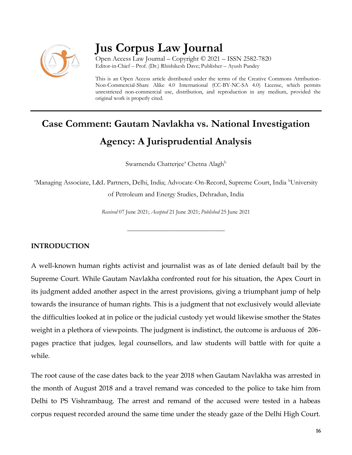

## **Jus Corpus Law Journal**

Open Access Law Journal – Copyright © 2021 – ISSN 2582-7820 Editor-in-Chief – Prof. (Dr.) Rhishikesh Dave; Publisher – Ayush Pandey

This is an Open Access article distributed under the terms of the Creative Commons Attribution-Non-Commercial-Share Alike 4.0 International (CC-BY-NC-SA 4.0) License, which permits unrestricted non-commercial use, distribution, and reproduction in any medium, provided the original work is properly cited.

# **Case Comment: Gautam Navlakha vs. National Investigation Agency: A Jurisprudential Analysis**

Swarnendu Chatterjee<sup>a</sup> Chetna Alagh<sup>b</sup>

<sup>a</sup>Managing Associate, L&L Partners, Delhi, India; Advocate-On-Record, Supreme Court, India <sup>b</sup>University of Petroleum and Energy Studies, Dehradun, India

*Received* 07 June 2021; *Accepted* 21 June 2021; *Published* 25 June 2021

\_\_\_\_\_\_\_\_\_\_\_\_\_\_\_\_\_\_\_\_\_\_\_\_\_\_\_\_\_\_\_\_\_\_

#### **INTRODUCTION**

A well-known human rights activist and journalist was as of late denied default bail by the Supreme Court. While Gautam Navlakha confronted rout for his situation, the Apex Court in its judgment added another aspect in the arrest provisions, giving a triumphant jump of help towards the insurance of human rights. This is a judgment that not exclusively would alleviate the difficulties looked at in police or the judicial custody yet would likewise smother the States weight in a plethora of viewpoints. The judgment is indistinct, the outcome is arduous of 206 pages practice that judges, legal counsellors, and law students will battle with for quite a while.

The root cause of the case dates back to the year 2018 when Gautam Navlakha was arrested in the month of August 2018 and a travel remand was conceded to the police to take him from Delhi to PS Vishrambaug. The arrest and remand of the accused were tested in a habeas corpus request recorded around the same time under the steady gaze of the Delhi High Court.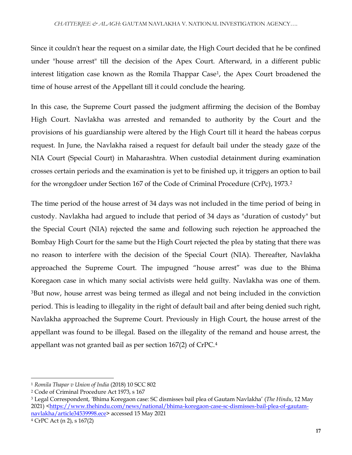Since it couldn't hear the request on a similar date, the High Court decided that he be confined under "house arrest" till the decision of the Apex Court. Afterward, in a different public interest litigation case known as the Romila Thappar Case<sup>1</sup>, the Apex Court broadened the time of house arrest of the Appellant till it could conclude the hearing.

In this case, the Supreme Court passed the judgment affirming the decision of the Bombay High Court. Navlakha was arrested and remanded to authority by the Court and the provisions of his guardianship were altered by the High Court till it heard the habeas corpus request. In June, the Navlakha raised a request for default bail under the steady gaze of the NIA Court (Special Court) in Maharashtra. When custodial detainment during examination crosses certain periods and the examination is yet to be finished up, it triggers an option to bail for the wrongdoer under Section 167 of the Code of Criminal Procedure (CrPc), 1973.<sup>2</sup>

The time period of the house arrest of 34 days was not included in the time period of being in custody. Navlakha had argued to include that period of 34 days as "duration of custody" but the Special Court (NIA) rejected the same and following such rejection he approached the Bombay High Court for the same but the High Court rejected the plea by stating that there was no reason to interfere with the decision of the Special Court (NIA). Thereafter, Navlakha approached the Supreme Court. The impugned "house arrest" was due to the Bhima Koregaon case in which many social activists were held guilty. Navlakha was one of them. <sup>3</sup>But now, house arrest was being termed as illegal and not being included in the conviction period. This is leading to illegality in the right of default bail and after being denied such right, Navlakha approached the Supreme Court. Previously in High Court, the house arrest of the appellant was found to be illegal. Based on the illegality of the remand and house arrest, the appellant was not granted bail as per section 167(2) of CrPC.<sup>4</sup>

 $\overline{a}$ 

<sup>1</sup> *Romila Thapar v Union of India* (2018) 10 SCC 802

<sup>2</sup> Code of Criminal Procedure Act 1973, s 167

<sup>3</sup> Legal Correspondent, *'*Bhima Koregaon case: SC dismisses bail plea of Gautam Navlakha' (*The Hindu*, 12 May 2021) [<https://www.thehindu.com/news/national/bhima-koregaon-case-sc-dismisses-bail-plea-of-gautam](https://www.thehindu.com/news/national/bhima-koregaon-case-sc-dismisses-bail-plea-of-gautam-navlakha/article34539998.ece)[navlakha/article34539998.ece>](https://www.thehindu.com/news/national/bhima-koregaon-case-sc-dismisses-bail-plea-of-gautam-navlakha/article34539998.ece) accessed 15 May 2021

<sup>4</sup> CrPC Act (n 2), s 167(2)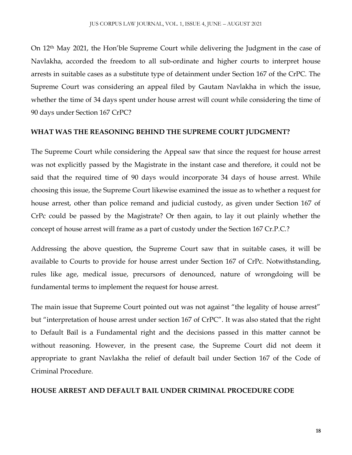On 12th May 2021, the Hon'ble Supreme Court while delivering the Judgment in the case of Navlakha, accorded the freedom to all sub-ordinate and higher courts to interpret house arrests in suitable cases as a substitute type of detainment under Section 167 of the CrPC. The Supreme Court was considering an appeal filed by Gautam Navlakha in which the issue, whether the time of 34 days spent under house arrest will count while considering the time of 90 days under Section 167 CrPC?

#### **WHAT WAS THE REASONING BEHIND THE SUPREME COURT JUDGMENT?**

The Supreme Court while considering the Appeal saw that since the request for house arrest was not explicitly passed by the Magistrate in the instant case and therefore, it could not be said that the required time of 90 days would incorporate 34 days of house arrest. While choosing this issue, the Supreme Court likewise examined the issue as to whether a request for house arrest, other than police remand and judicial custody, as given under Section 167 of CrPc could be passed by the Magistrate? Or then again, to lay it out plainly whether the concept of house arrest will frame as a part of custody under the Section 167 Cr.P.C.?

Addressing the above question, the Supreme Court saw that in suitable cases, it will be available to Courts to provide for house arrest under Section 167 of CrPc. Notwithstanding, rules like age, medical issue, precursors of denounced, nature of wrongdoing will be fundamental terms to implement the request for house arrest.

The main issue that Supreme Court pointed out was not against "the legality of house arrest" but "interpretation of house arrest under section 167 of CrPC". It was also stated that the right to Default Bail is a Fundamental right and the decisions passed in this matter cannot be without reasoning. However, in the present case, the Supreme Court did not deem it appropriate to grant Navlakha the relief of default bail under Section 167 of the Code of Criminal Procedure.

#### **HOUSE ARREST AND DEFAULT BAIL UNDER CRIMINAL PROCEDURE CODE**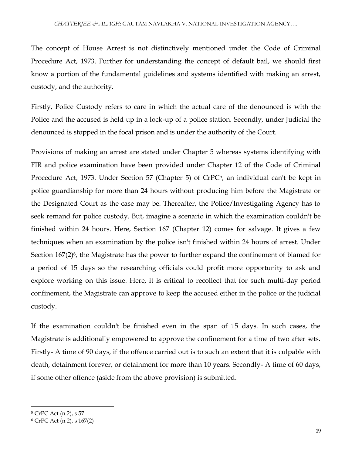The concept of House Arrest is not distinctively mentioned under the Code of Criminal Procedure Act, 1973. Further for understanding the concept of default bail, we should first know a portion of the fundamental guidelines and systems identified with making an arrest, custody, and the authority.

Firstly, Police Custody refers to care in which the actual care of the denounced is with the Police and the accused is held up in a lock-up of a police station. Secondly, under Judicial the denounced is stopped in the focal prison and is under the authority of the Court.

Provisions of making an arrest are stated under Chapter 5 whereas systems identifying with FIR and police examination have been provided under Chapter 12 of the Code of Criminal Procedure Act, 1973. Under Section 57 (Chapter 5) of CrPC<sup>5</sup>, an individual can't be kept in police guardianship for more than 24 hours without producing him before the Magistrate or the Designated Court as the case may be. Thereafter, the Police/Investigating Agency has to seek remand for police custody. But, imagine a scenario in which the examination couldn't be finished within 24 hours. Here, Section 167 (Chapter 12) comes for salvage. It gives a few techniques when an examination by the police isn't finished within 24 hours of arrest. Under Section 167(2)<sup>6</sup>, the Magistrate has the power to further expand the confinement of blamed for a period of 15 days so the researching officials could profit more opportunity to ask and explore working on this issue. Here, it is critical to recollect that for such multi-day period confinement, the Magistrate can approve to keep the accused either in the police or the judicial custody.

If the examination couldn't be finished even in the span of 15 days. In such cases, the Magistrate is additionally empowered to approve the confinement for a time of two after sets. Firstly- A time of 90 days, if the offence carried out is to such an extent that it is culpable with death, detainment forever, or detainment for more than 10 years. Secondly- A time of 60 days, if some other offence (aside from the above provision) is submitted.

 $\overline{\phantom{a}}$ 

<sup>5</sup> CrPC Act (n 2), s 57

<sup>6</sup> CrPC Act (n 2), s 167(2)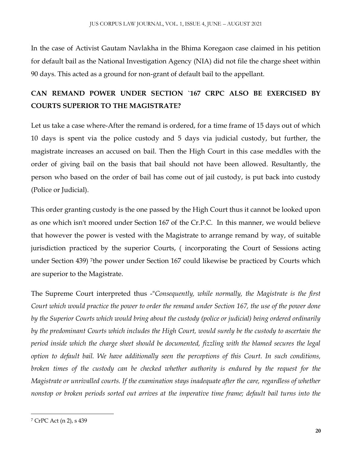In the case of Activist Gautam Navlakha in the Bhima Koregaon case claimed in his petition for default bail as the National Investigation Agency (NIA) did not file the charge sheet within 90 days. This acted as a ground for non-grant of default bail to the appellant.

## **CAN REMAND POWER UNDER SECTION `167 CRPC ALSO BE EXERCISED BY COURTS SUPERIOR TO THE MAGISTRATE?**

Let us take a case where-After the remand is ordered, for a time frame of 15 days out of which 10 days is spent via the police custody and 5 days via judicial custody, but further, the magistrate increases an accused on bail. Then the High Court in this case meddles with the order of giving bail on the basis that bail should not have been allowed. Resultantly, the person who based on the order of bail has come out of jail custody, is put back into custody (Police or Judicial).

This order granting custody is the one passed by the High Court thus it cannot be looked upon as one which isn't moored under Section 167 of the Cr.P.C. In this manner, we would believe that however the power is vested with the Magistrate to arrange remand by way, of suitable jurisdiction practiced by the superior Courts, ( incorporating the Court of Sessions acting under Section 439) <sup>7</sup> the power under Section 167 could likewise be practiced by Courts which are superior to the Magistrate.

The Supreme Court interpreted thus -"*Consequently, while normally, the Magistrate is the first Court which would practice the power to order the remand under Section 167, the use of the power done by the Superior Courts which would bring about the custody (police or judicial) being ordered ordinarily by the predominant Courts which includes the High Court, would surely be the custody to ascertain the period inside which the charge sheet should be documented, fizzling with the blamed secures the legal option to default bail. We have additionally seen the perceptions of this Court. In such conditions, broken times of the custody can be checked whether authority is endured by the request for the Magistrate or unrivalled courts. If the examination stays inadequate after the care, regardless of whether nonstop or broken periods sorted out arrives at the imperative time frame; default bail turns into the* 

 $\overline{\phantom{a}}$ 

<sup>7</sup> CrPC Act (n 2), s 439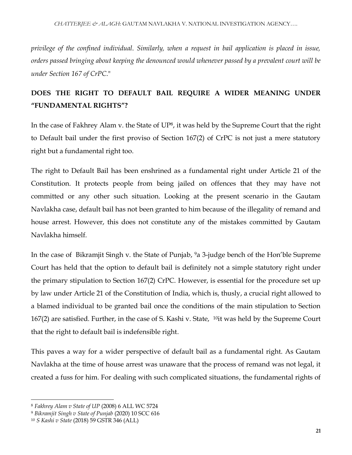*privilege of the confined individual*. *Similarly, when a request in bail application is placed in issue, orders passed bringing about keeping the denounced would whenever passed by a prevalent court will be under Section 167 of CrPC*."

## **DOES THE RIGHT TO DEFAULT BAIL REQUIRE A WIDER MEANING UNDER "FUNDAMENTAL RIGHTS"?**

In the case of Fakhrey Alam v. the State of UP<sup>8</sup>, it was held by the Supreme Court that the right to Default bail under the first proviso of Section 167(2) of CrPC is not just a mere statutory right but a fundamental right too.

The right to Default Bail has been enshrined as a fundamental right under Article 21 of the Constitution. It protects people from being jailed on offences that they may have not committed or any other such situation. Looking at the present scenario in the Gautam Navlakha case, default bail has not been granted to him because of the illegality of remand and house arrest. However, this does not constitute any of the mistakes committed by Gautam Navlakha himself.

In the case of Bikramjit Singh v. the State of Punjab, <sup>9</sup>a 3-judge bench of the Hon'ble Supreme Court has held that the option to default bail is definitely not a simple statutory right under the primary stipulation to Section 167(2) CrPC. However, is essential for the procedure set up by law under Article 21 of the Constitution of India, which is, thusly, a crucial right allowed to a blamed individual to be granted bail once the conditions of the main stipulation to Section 167(2) are satisfied. Further, in the case of S. Kashi v. State, 10it was held by the Supreme Court that the right to default bail is indefensible right.

This paves a way for a wider perspective of default bail as a fundamental right. As Gautam Navlakha at the time of house arrest was unaware that the process of remand was not legal, it created a fuss for him. For dealing with such complicated situations, the fundamental rights of

 $\overline{\phantom{a}}$ 

<sup>8</sup> *Fakhrey Alam v State of UP* (2008) 6 ALL WC 5724

<sup>9</sup> *Bikramjit Singh v State of Punjab* (2020) 10 SCC 616

<sup>10</sup> *S Kashi v State* (2018) 59 GSTR 346 (ALL)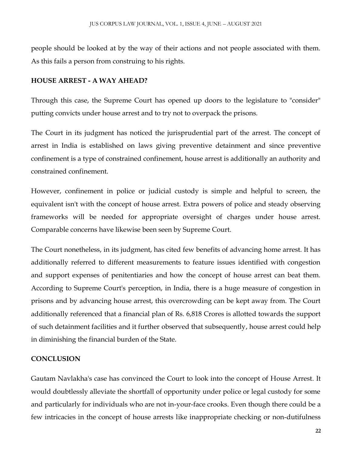people should be looked at by the way of their actions and not people associated with them. As this fails a person from construing to his rights.

#### **HOUSE ARREST - A WAY AHEAD?**

Through this case, the Supreme Court has opened up doors to the legislature to "consider" putting convicts under house arrest and to try not to overpack the prisons.

The Court in its judgment has noticed the jurisprudential part of the arrest. The concept of arrest in India is established on laws giving preventive detainment and since preventive confinement is a type of constrained confinement, house arrest is additionally an authority and constrained confinement.

However, confinement in police or judicial custody is simple and helpful to screen, the equivalent isn't with the concept of house arrest. Extra powers of police and steady observing frameworks will be needed for appropriate oversight of charges under house arrest. Comparable concerns have likewise been seen by Supreme Court.

The Court nonetheless, in its judgment, has cited few benefits of advancing home arrest. It has additionally referred to different measurements to feature issues identified with congestion and support expenses of penitentiaries and how the concept of house arrest can beat them. According to Supreme Court's perception, in India, there is a huge measure of congestion in prisons and by advancing house arrest, this overcrowding can be kept away from. The Court additionally referenced that a financial plan of Rs. 6,818 Crores is allotted towards the support of such detainment facilities and it further observed that subsequently, house arrest could help in diminishing the financial burden of the State.

### **CONCLUSION**

Gautam Navlakha's case has convinced the Court to look into the concept of House Arrest. It would doubtlessly alleviate the shortfall of opportunity under police or legal custody for some and particularly for individuals who are not in-your-face crooks. Even though there could be a few intricacies in the concept of house arrests like inappropriate checking or non-dutifulness